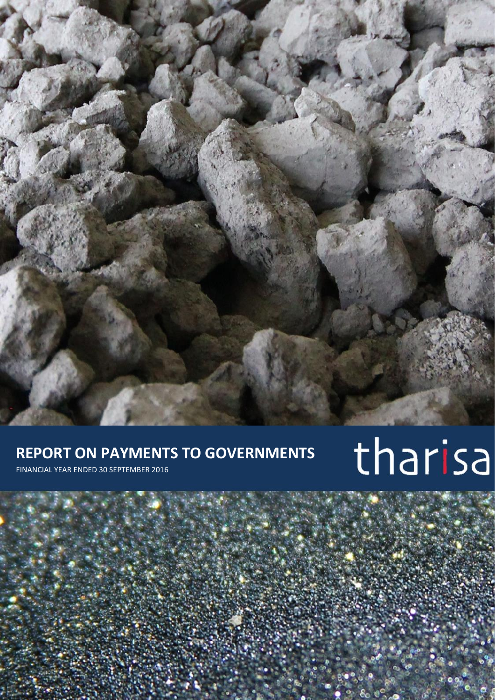# **REPORT ON PAYMENTS TO GOVERNMENTS**

FINANCIAL YEAR ENDED 30 SEPTEMBER 2016

# tharisa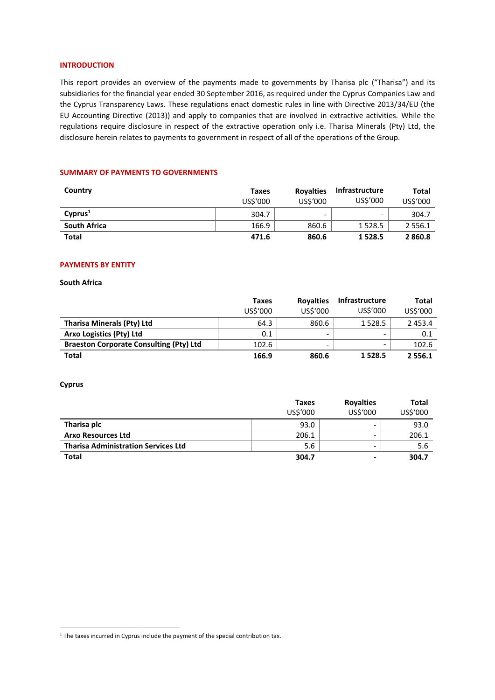# **INTRODUCTION**

This report provides an overview of the payments made to governments by Tharisa plc ("Tharisa") and its subsidiaries for the financial year ended 30 September 2016, as required under the Cyprus Companies Law and the Cyprus Transparency Laws. These regulations enact domestic rules in line with Directive 2013/34/EU (the EU Accounting Directive (2013)) and apply to companies that are involved in extractive activities. While the regulations require disclosure in respect of the extractive operation only i.e. Tharisa Minerals (Pty) Ltd, the disclosure herein relates to payments to government in respect of all of the operations of the Group.

# **SUMMARY OF PAYMENTS TO GOVERNMENTS**

| Country             | Taxes<br>US\$'000 | <b>Royalties</b><br>US\$'000 | Infrastructure<br>US\$'000 | Total<br>US\$'000 |
|---------------------|-------------------|------------------------------|----------------------------|-------------------|
| Cvprus <sup>1</sup> | 304.7             | -                            | $\overline{\phantom{0}}$   | 304.7             |
| <b>South Africa</b> | 166.9             | 860.6                        | 1 5 2 8 . 5                | 2 5 5 6 . 1       |
| Total               | 471.6             | 860.6                        | 1 5 2 8 . 5                | 2860.8            |

#### **PAYMENTS BY ENTITY**

**South Africa** 

|                                                | Taxes<br>US\$'000 | <b>Royalties</b><br>US\$'000 | <b>Infrastructure</b><br>US\$'000 | Total<br>US\$'000 |
|------------------------------------------------|-------------------|------------------------------|-----------------------------------|-------------------|
|                                                |                   |                              |                                   |                   |
| <b>Tharisa Minerals (Pty) Ltd</b>              | 64.3              | 860.6                        | 1 5 2 8 . 5                       | 2 4 5 3 . 4       |
| Arxo Logistics (Pty) Ltd                       | 0.1               | -                            | $\overline{\phantom{0}}$          | 0.1               |
| <b>Braeston Corporate Consulting (Pty) Ltd</b> | 102.6             | -                            | $\overline{\phantom{0}}$          | 102.6             |
| <b>Total</b>                                   | 166.9             | 860.6                        | 1 5 2 8 . 5                       | 2 5 5 6 . 1       |

#### **Cyprus**

1

|                                            | <b>Taxes</b> | <b>Royalties</b> | <b>Total</b><br>US\$'000 |
|--------------------------------------------|--------------|------------------|--------------------------|
|                                            | US\$'000     | US\$'000         |                          |
| Tharisa plc                                | 93.0         |                  | 93.0                     |
| <b>Arxo Resources Ltd</b>                  | 206.1        | -                | 206.1                    |
| <b>Tharisa Administration Services Ltd</b> | 5.6          |                  | 5.6                      |
| <b>Total</b>                               | 304.7        |                  | 304.7                    |

 $1$  The taxes incurred in Cyprus include the payment of the special contribution tax.